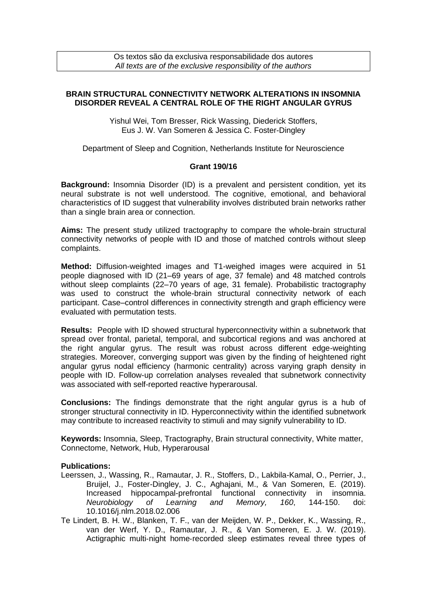## **BRAIN STRUCTURAL CONNECTIVITY NETWORK ALTERATIONS IN INSOMNIA DISORDER REVEAL A CENTRAL ROLE OF THE RIGHT ANGULAR GYRUS**

Yishul Wei, Tom Bresser, Rick Wassing, Diederick Stoffers, Eus J. W. Van Someren & Jessica C. Foster-Dingley

Department of Sleep and Cognition, Netherlands Institute for Neuroscience

## **Grant 190/16**

**Background:** Insomnia Disorder (ID) is a prevalent and persistent condition, yet its neural substrate is not well understood. The cognitive, emotional, and behavioral characteristics of ID suggest that vulnerability involves distributed brain networks rather than a single brain area or connection.

**Aims:** The present study utilized tractography to compare the whole-brain structural connectivity networks of people with ID and those of matched controls without sleep complaints.

**Method:** Diffusion-weighted images and T1-weighed images were acquired in 51 people diagnosed with ID (21–69 years of age, 37 female) and 48 matched controls without sleep complaints (22–70 years of age, 31 female). Probabilistic tractography was used to construct the whole-brain structural connectivity network of each participant. Case–control differences in connectivity strength and graph efficiency were evaluated with permutation tests.

**Results:** People with ID showed structural hyperconnectivity within a subnetwork that spread over frontal, parietal, temporal, and subcortical regions and was anchored at the right angular gyrus. The result was robust across different edge-weighting strategies. Moreover, converging support was given by the finding of heightened right angular gyrus nodal efficiency (harmonic centrality) across varying graph density in people with ID. Follow-up correlation analyses revealed that subnetwork connectivity was associated with self-reported reactive hyperarousal.

**Conclusions:** The findings demonstrate that the right angular gyrus is a hub of stronger structural connectivity in ID. Hyperconnectivity within the identified subnetwork may contribute to increased reactivity to stimuli and may signify vulnerability to ID.

**Keywords:** Insomnia, Sleep, Tractography, Brain structural connectivity, White matter, Connectome, Network, Hub, Hyperarousal

## **Publications:**

- Leerssen, J., Wassing, R., Ramautar, J. R., Stoffers, D., Lakbila-Kamal, O., Perrier, J., Bruijel, J., Foster-Dingley, J. C., Aghajani, M., & Van Someren, E. (2019). Increased hippocampal-prefrontal functional connectivity in insomnia. *Neurobiology of Learning and Memory, 160*, 144-150. doi: 10.1016/j.nlm.2018.02.006
- Te Lindert, B. H. W., Blanken, T. F., van der Meijden, W. P., Dekker, K., Wassing, R., van der Werf, Y. D., Ramautar, J. R., & Van Someren, E. J. W. (2019). Actigraphic multi-night home-recorded sleep estimates reveal three types of